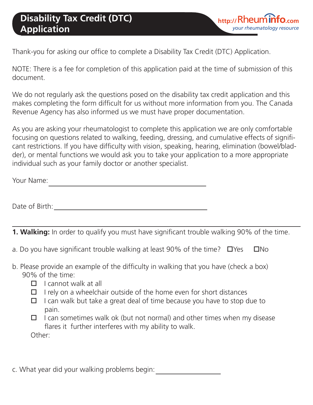Thank-you for asking our office to complete a Disability Tax Credit (DTC) Application.

NOTE: There is a fee for completion of this application paid at the time of submission of this document.

We do not regularly ask the questions posed on the disability tax credit application and this makes completing the form difficult for us without more information from you. The Canada Revenue Agency has also informed us we must have proper documentation.

As you are asking your rheumatologist to complete this application we are only comfortable focusing on questions related to walking, feeding, dressing, and cumulative effects of significant restrictions. If you have difficulty with vision, speaking, hearing, elimination (bowel/bladder), or mental functions we would ask you to take your application to a more appropriate individual such as your family doctor or another specialist.

Your Name: <u> 1980 - Johann Barbara, martxa alemaniar a</u>

Date of Birth:

**1. Walking:** In order to qualify you must have significant trouble walking 90% of the time.

- a. Do you have significant trouble walking at least 90% of the time?  $\Box$  Yes  $\Box$  No
- b. Please provide an example of the difficulty in walking that you have (check a box) 90% of the time:
	- $\Box$  I cannot walk at all
	- $\Box$  I rely on a wheelchair outside of the home even for short distances
	- $\Box$  I can walk but take a great deal of time because you have to stop due to pain.
	- $\Box$  I can sometimes walk ok (but not normal) and other times when my disease flares it further interferes with my ability to walk. Other:
- c. What year did your walking problems begin: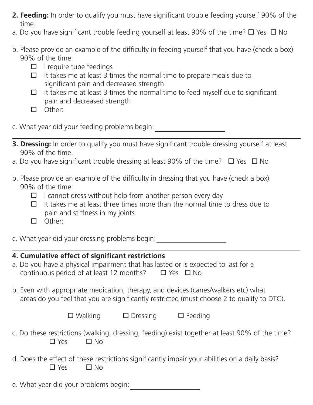- **2. Feeding:** In order to qualify you must have significant trouble feeding yourself 90% of the time.
- a. Do you have significant trouble feeding yourself at least 90% of the time?  $\Box$  Yes  $\Box$  No
- b. Please provide an example of the difficulty in feeding yourself that you have (check a box) 90% of the time:
	- $\Box$  I require tube feedings
	- $\Box$  It takes me at least 3 times the normal time to prepare meals due to significant pain and decreased strength
	- $\Box$  It takes me at least 3 times the normal time to feed myself due to significant pain and decreased strength
	- $\Box$  Other:
- c. What year did your feeding problems begin:
- **3. Dressing:** In order to qualify you must have significant trouble dressing yourself at least 90% of the time.
- a. Do you have significant trouble dressing at least 90% of the time?  $\Box$  Yes  $\Box$  No
- b. Please provide an example of the difficulty in dressing that you have (check a box) 90% of the time:
	- $\Box$  I cannot dress without help from another person every day
	- $\Box$  It takes me at least three times more than the normal time to dress due to pain and stiffness in my joints.
	- $\square$  Other:
- c. What year did your dressing problems begin:

## **4. Cumulative effect of significant restrictions**

- a. Do you have a physical impairment that has lasted or is expected to last for a continuous period of at least 12 months?  $\Box$  Yes  $\Box$  No
- b. Even with appropriate medication, therapy, and devices (canes/walkers etc) what areas do you feel that you are significantly restricted (must choose 2 to qualify to DTC).

| $\square$ Walking | $\Box$ Dressing | $\Box$ Feeding |
|-------------------|-----------------|----------------|
|-------------------|-----------------|----------------|

- c. Do these restrictions (walking, dressing, feeding) exist together at least 90% of the time?  $\Box$  Yes  $\Box$  No
- d. Does the effect of these restrictions significantly impair your abilities on a daily basis?  $\Box$  Yes  $\Box$  No
- e. What year did your problems begin: